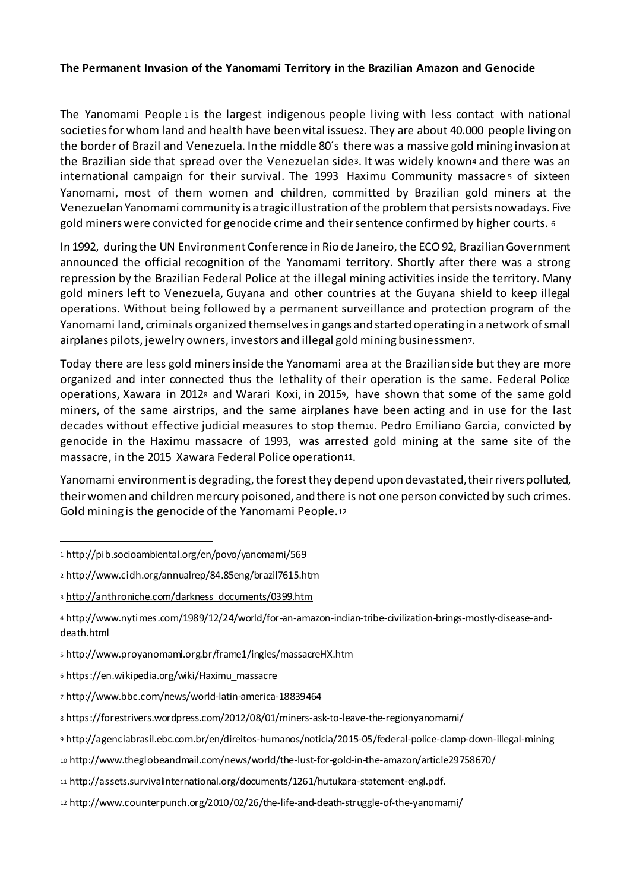#### **The Permanent Invasion of the Yanomami Territory in the Brazilian Amazon and Genocide**

The Yanomami People  $1$  is the largest indigenous people living with less contact with national societiesfor whom land and health have been vital issues2. They are about 40.000 people living on the border of Brazil and Venezuela. In the middle 80´s there was a massive gold mining invasion at the Brazilian side that spread over the Venezuelan side3. It was widely known4 and there was an international campaign for their survival. The 1993 Haximu Community massacre <sup>5</sup> of sixteen Yanomami, most of them women and children, committed by Brazilian gold miners at the Venezuelan Yanomami community is a tragic illustration ofthe problemthat persists nowadays. Five gold miners were convicted for genocide crime and theirsentence confirmed by higher courts. <sup>6</sup>

In 1992, during the UN Environment Conference in Rio de Janeiro, the ECO 92, Brazilian Government announced the official recognition of the Yanomami territory. Shortly after there was a strong repression by the Brazilian Federal Police at the illegal mining activities inside the territory. Many gold miners left to Venezuela, Guyana and other countries at the Guyana shield to keep illegal operations. Without being followed by a permanent surveillance and protection program of the Yanomami land, criminals organized themselvesin gangs and started operating in anetwork ofsmall airplanes pilots, jewelry owners, investors and illegal goldmining businessmen7.

Today there are less gold minersinside the Yanomami area at the Brazilian side but they are more organized and inter connected thus the lethality of their operation is the same. Federal Police operations, Xawara in 2012<sup>8</sup> and Warari Koxi, in 20159, have shown that some of the same gold miners, of the same airstrips, and the same airplanes have been acting and in use for the last decades without effective judicial measures to stop them10. Pedro Emiliano Garcia, convicted by genocide in the Haximu massacre of 1993, was arrested gold mining at the same site of the massacre, in the 2015 Xawara Federal Police operation11.

Yanomami environment is degrading, the forest they depend upon devastated, their rivers polluted, their women and children mercury poisoned, and there is not one person convicted by such crimes. Gold mining is the genocide of the Yanomami People.12

1

<sup>5</sup> http://www.proyanomami.org.br/frame1/ingles/massacreHX.htm

- <sup>10</sup> http://www.theglobeandmail.com/news/world/the-lust-for-gold-in-the-amazon/article29758670/
- <sup>11</sup> http://assets.survivalinternational.org/documents/1261/hutukara-statement-engl.pdf.

<sup>1</sup> http://pib.socioambiental.org/en/povo/yanomami/569

<sup>2</sup> http://www.cidh.org/annualrep/84.85eng/brazil7615.htm

<sup>3</sup> http://anthroniche.com/darkness\_documents/0399.htm

<sup>4</sup> http://www.nytimes.com/1989/12/24/world/for-an-amazon-indian-tribe-civilization-brings-mostly-disease-anddeath.html

<sup>6</sup> https://en.wikipedia.org/wiki/Haximu\_massacre

<sup>7</sup> http://www.bbc.com/news/world-latin-america-18839464

<sup>8</sup> https://forestrivers.wordpress.com/2012/08/01/miners-ask-to-leave-the-regionyanomami/

<sup>9</sup> http://agenciabrasil.ebc.com.br/en/direitos-humanos/noticia/2015-05/federal-police-clamp-down-illegal-mining

<sup>12</sup> http://www.counterpunch.org/2010/02/26/the-life-and-death-struggle-of-the-yanomami/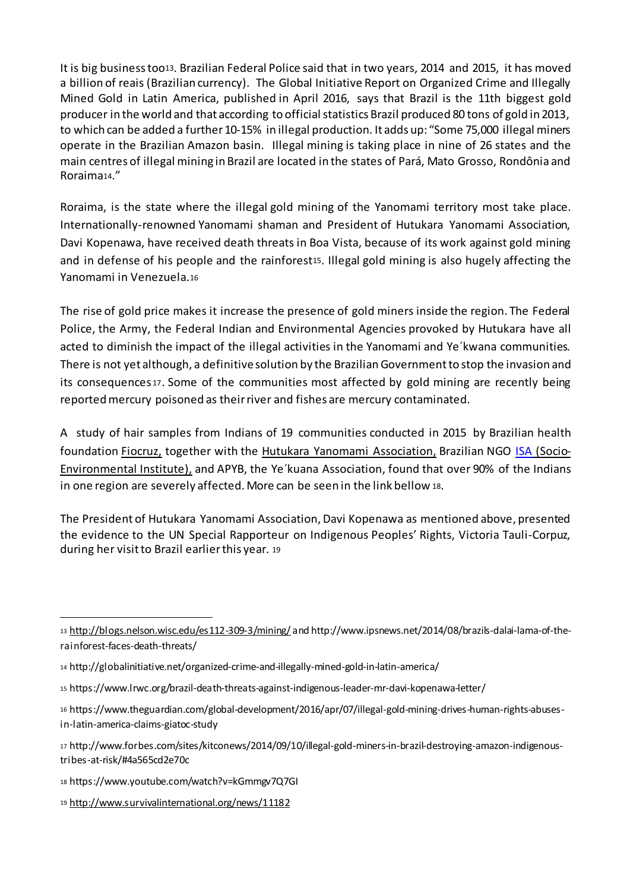It is big businesstoo13. Brazilian Federal Police said that in two years, 2014 and 2015, it has moved a billion of reais (Brazilian currency). The Global Initiative Report on Organized Crime and Illegally Mined Gold in Latin America, published in April 2016, says that Brazil is the 11th biggest gold producer in the world and that according to official statistics Brazil produced 80 tons of gold in 2013, to which can be added a further 10-15% in illegal production. It adds up: "Some 75,000 illegal miners operate in the Brazilian Amazon basin. Illegal mining is taking place in nine of 26 states and the main centres of illegal mining in Brazil are located in the states of Pará, Mato Grosso, Rondônia and Roraima14."

Roraima, is the state where the illegal gold mining of the Yanomami territory most take place. Internationally-renowned Yanomami shaman and President of Hutukara Yanomami Association, Davi Kopenawa, have received death threats in Boa Vista, because of its work against gold mining and in defense of his people and the rainforest<sub>15</sub>. Illegal gold mining is also hugely affecting the Yanomami in Venezuela.<sup>16</sup>

The rise of gold price makes it increase the presence of gold miners inside the region. The Federal Police, the Army, the Federal Indian and Environmental Agencies provoked by Hutukara have all acted to diminish the impact of the illegal activities in the Yanomami and Ye´kwana communities. There is not yet although, a definitive solution by the Brazilian Government to stop the invasion and its consequences <sup>17</sup>. Some of the communities most affected by gold mining are recently being reportedmercury poisoned as theirriver and fishes are mercury contaminated.

A study of hair samples from Indians of 19 communities conducted in 2015 by Brazilian health foundation Fiocruz, together with the Hutukara Yanomami Association, Brazilian NGO ISA (Socio-Environmental Institute), and APYB, the Ye´kuana Association, found that over 90% of the Indians in one region are severely affected. More can be seen in the link bellow <sup>18</sup>.

The President of Hutukara Yanomami Association, Davi Kopenawa as mentioned above, presented the evidence to the UN Special Rapporteur on Indigenous Peoples' Rights, Victoria Tauli-Corpuz, during her visitto Brazil earlierthis year. <sup>19</sup>

<sup>19</sup> http://www.survivalinternational.org/news/11182

1

<sup>13</sup> http://blogs.nelson.wisc.edu/es112-309-3/mining/ and http://www.ipsnews.net/2014/08/brazils-dalai-lama-of-therainforest-faces-death-threats/

<sup>14</sup> http://globalinitiative.net/organized-crime-and-illegally-mined-gold-in-latin-america/

<sup>15</sup> https://www.lrwc.org/brazil-death-threats-against-indigenous-leader-mr-davi-kopenawa-letter/

<sup>16</sup> https://www.theguardian.com/global-development/2016/apr/07/illegal-gold-mining-drives-human-rights-abusesin-latin-america-claims-giatoc-study

<sup>17</sup> http://www.forbes.com/sites/kitconews/2014/09/10/illegal-gold-miners-in-brazil-destroying-amazon-indigenoustribes-at-risk/#4a565cd2e70c

<sup>18</sup> https://www.youtube.com/watch?v=kGmmgv7Q7GI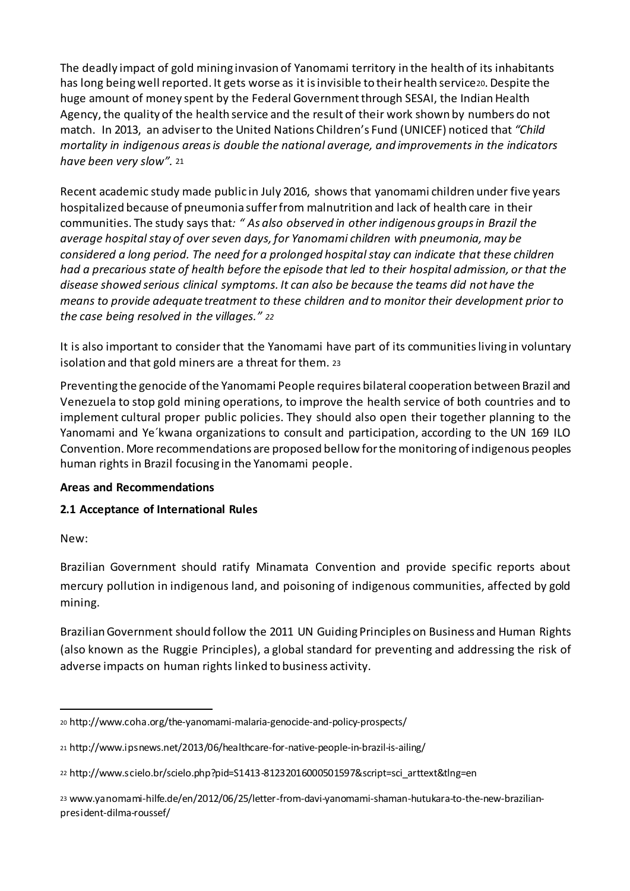The deadly impact of gold mining invasion of Yanomami territory in the health of its inhabitants has long being well reported. It gets worse as it is invisible to their health service 20. Despite the huge amount of money spent by the Federal Government through SESAI, the Indian Health Agency, the quality of the health service and the result of their work shown by numbers do not match. In 2013, an adviserto the United Nations Children's Fund (UNICEF) noticed that *"Child mortality in indigenous areasis double the national average, and improvements in the indicators have been very slow".* <sup>21</sup>

Recent academic study made public in July 2016, shows that yanomami children under five years hospitalized because of pneumonia sufferfrom malnutrition and lack of health care in their communities. The study says that*: " As also observed in other indigenous groupsin Brazil the average hospitalstay of over seven days, for Yanomami children with pneumonia, may be considered a long period. The need for a prolonged hospitalstay can indicate that these children* had a precarious state of health before the episode that led to their hospital admission, or that the *disease showed serious clinical symptoms. It can also be because the teams did not have the means to provide adequate treatment to these children and to monitor their development prior to the case being resolved in the villages." <sup>22</sup>*

It is also important to consider that the Yanomami have part of its communitiesliving in voluntary isolation and that gold miners are a threat for them. <sup>23</sup>

Preventing the genocide ofthe Yanomami People requires bilateral cooperation between Brazil and Venezuela to stop gold mining operations, to improve the health service of both countries and to implement cultural proper public policies. They should also open their together planning to the Yanomami and Ye´kwana organizations to consult and participation, according to the UN 169 ILO Convention. More recommendations are proposed bellow forthe monitoring of indigenous peoples human rights in Brazil focusing in the Yanomami people.

#### **Areas and Recommendations**

# **2.1 Acceptance of International Rules**

New:

1

Brazilian Government should ratify Minamata Convention and provide specific reports about mercury pollution in indigenous land, and poisoning of indigenous communities, affected by gold mining.

BrazilianGovernment should follow the 2011 UN Guiding Principles on Business and Human Rights (also known as the Ruggie Principles), a global standard for preventing and addressing the risk of adverse impacts on human rights linked to business activity.

<sup>20</sup> http://www.coha.org/the-yanomami-malaria-genocide-and-policy-prospects/

<sup>21</sup> http://www.ipsnews.net/2013/06/healthcare-for-native-people-in-brazil-is-ailing/

<sup>22</sup> http://www.scielo.br/scielo.php?pid=S1413-81232016000501597&script=sci\_arttext&tlng=en

<sup>23</sup> www.yanomami-hilfe.de/en/2012/06/25/letter-from-davi-yanomami-shaman-hutukara-to-the-new-brazilianpresident-dilma-roussef/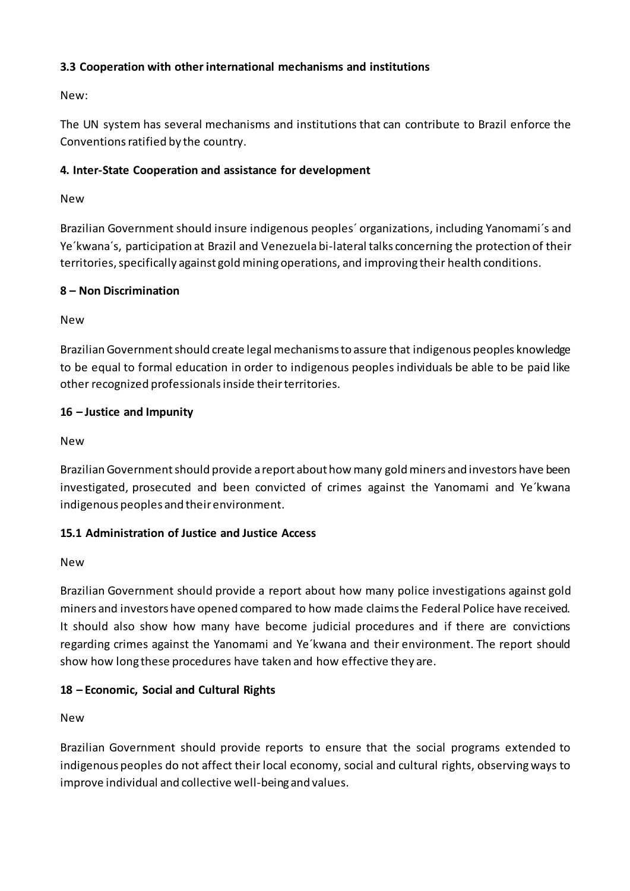# **3.3 Cooperation with other international mechanisms and institutions**

New:

The UN system has several mechanisms and institutions that can contribute to Brazil enforce the Conventions ratified by the country.

# **4. Inter-State Cooperation and assistance for development**

New

Brazilian Government should insure indigenous peoples´ organizations, including Yanomami´s and Ye´kwana´s, participation at Brazil and Venezuela bi-lateral talks concerning the protection of their territories, specifically against gold mining operations, and improving their health conditions.

# **8 – Non Discrimination**

New

BrazilianGovernmentshould create legal mechanismsto assure that indigenous peoples knowledge to be equal to formal education in order to indigenous peoples individuals be able to be paid like other recognized professionalsinside theirterritories.

#### **16 – Justice and Impunity**

New

Brazilian Government should provide a report about how many gold miners and investors have been investigated, prosecuted and been convicted of crimes against the Yanomami and Ye´kwana indigenous peoples and their environment.

# **15.1 Administration of Justice and Justice Access**

New

Brazilian Government should provide a report about how many police investigations against gold miners and investors have opened compared to how made claimsthe Federal Police have received. It should also show how many have become judicial procedures and if there are convictions regarding crimes against the Yanomami and Ye´kwana and their environment. The report should show how long these procedures have taken and how effective they are.

# **18 – Economic, Social and Cultural Rights**

New

Brazilian Government should provide reports to ensure that the social programs extended to indigenous peoples do not affect their local economy, social and cultural rights, observing ways to improve individual and collective well-being and values.